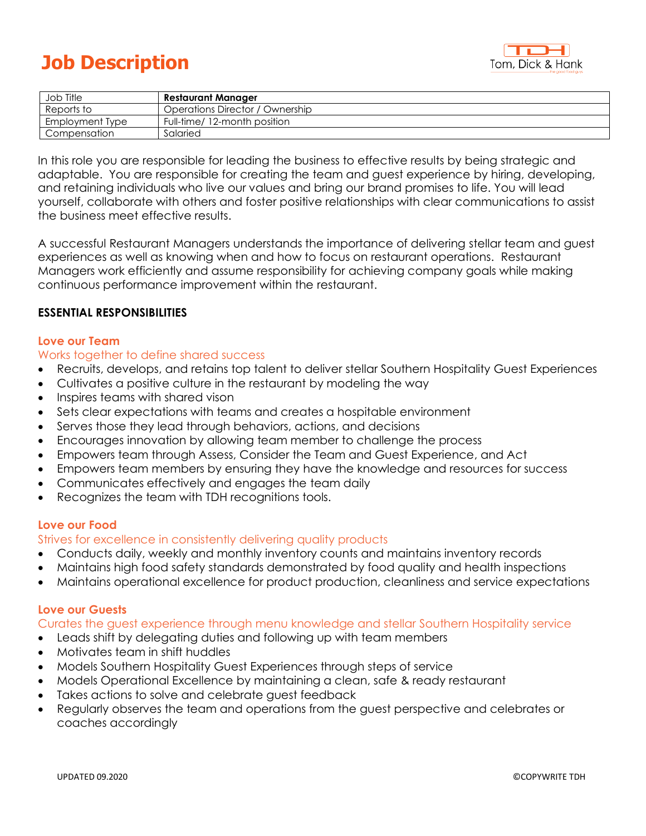# **Job Description**



| Job Title       | <b>Restaurant Manager</b>       |
|-----------------|---------------------------------|
| Reports to      | Operations Director / Ownership |
| Employment Type | Full-time/ 12-month position    |
| Compensation    | Salaried                        |

In this role you are responsible for leading the business to effective results by being strategic and adaptable. You are responsible for creating the team and guest experience by hiring, developing, and retaining individuals who live our values and bring our brand promises to life. You will lead yourself, collaborate with others and foster positive relationships with clear communications to assist the business meet effective results.

A successful Restaurant Managers understands the importance of delivering stellar team and guest experiences as well as knowing when and how to focus on restaurant operations. Restaurant Managers work efficiently and assume responsibility for achieving company goals while making continuous performance improvement within the restaurant.

## **ESSENTIAL RESPONSIBILITIES**

#### **Love our Team**

#### Works together to define shared success

- Recruits, develops, and retains top talent to deliver stellar Southern Hospitality Guest Experiences
- Cultivates a positive culture in the restaurant by modeling the way
- Inspires teams with shared vison
- Sets clear expectations with teams and creates a hospitable environment
- Serves those they lead through behaviors, actions, and decisions
- Encourages innovation by allowing team member to challenge the process
- Empowers team through Assess, Consider the Team and Guest Experience, and Act
- Empowers team members by ensuring they have the knowledge and resources for success
- Communicates effectively and engages the team daily
- Recognizes the team with TDH recognitions tools.

#### **Love our Food**

Strives for excellence in consistently delivering quality products

- Conducts daily, weekly and monthly inventory counts and maintains inventory records
- Maintains high food safety standards demonstrated by food quality and health inspections
- Maintains operational excellence for product production, cleanliness and service expectations

## **Love our Guests**

Curates the guest experience through menu knowledge and stellar Southern Hospitality service

- Leads shift by delegating duties and following up with team members
- Motivates team in shift huddles
- Models Southern Hospitality Guest Experiences through steps of service
- Models Operational Excellence by maintaining a clean, safe & ready restaurant
- Takes actions to solve and celebrate guest feedback
- Regularly observes the team and operations from the guest perspective and celebrates or coaches accordingly